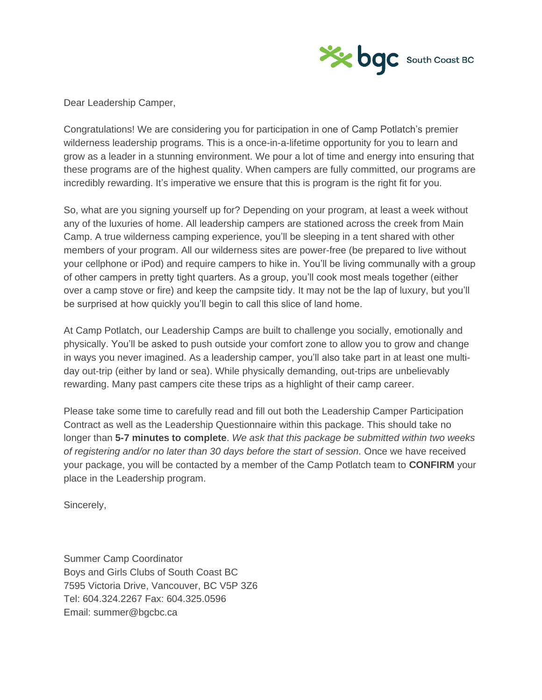

Dear Leadership Camper,

Congratulations! We are considering you for participation in one of Camp Potlatch's premier wilderness leadership programs. This is a once-in-a-lifetime opportunity for you to learn and grow as a leader in a stunning environment. We pour a lot of time and energy into ensuring that these programs are of the highest quality. When campers are fully committed, our programs are incredibly rewarding. It's imperative we ensure that this is program is the right fit for you.

So, what are you signing yourself up for? Depending on your program, at least a week without any of the luxuries of home. All leadership campers are stationed across the creek from Main Camp. A true wilderness camping experience, you'll be sleeping in a tent shared with other members of your program. All our wilderness sites are power-free (be prepared to live without your cellphone or iPod) and require campers to hike in. You'll be living communally with a group of other campers in pretty tight quarters. As a group, you'll cook most meals together (either over a camp stove or fire) and keep the campsite tidy. It may not be the lap of luxury, but you'll be surprised at how quickly you'll begin to call this slice of land home.

At Camp Potlatch, our Leadership Camps are built to challenge you socially, emotionally and physically. You'll be asked to push outside your comfort zone to allow you to grow and change in ways you never imagined. As a leadership camper, you'll also take part in at least one multiday out-trip (either by land or sea). While physically demanding, out-trips are unbelievably rewarding. Many past campers cite these trips as a highlight of their camp career.

Please take some time to carefully read and fill out both the Leadership Camper Participation Contract as well as the Leadership Questionnaire within this package. This should take no longer than **5-7 minutes to complete**. *We ask that this package be submitted within two weeks of registering and/or no later than 30 days before the start of session.* Once we have received your package, you will be contacted by a member of the Camp Potlatch team to **CONFIRM** your place in the Leadership program.

Sincerely,

Summer Camp Coordinator Boys and Girls Clubs of South Coast BC 7595 Victoria Drive, Vancouver, BC V5P 3Z6 Tel: 604.324.2267 Fax: 604.325.0596 Email: summer@bgcbc.ca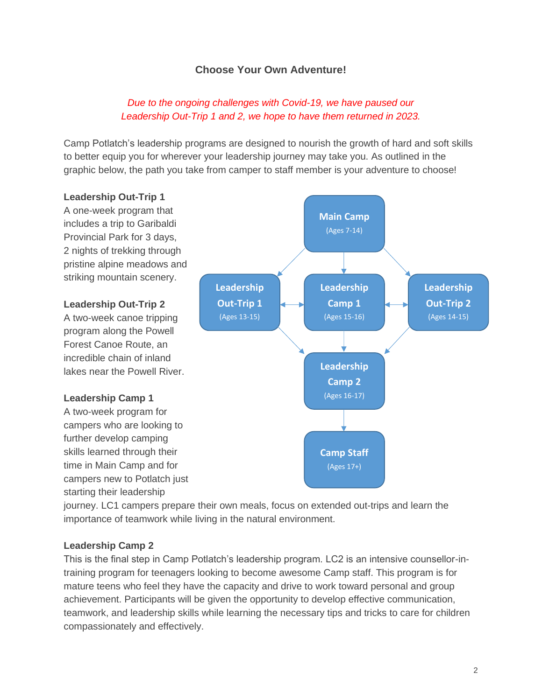# **Choose Your Own Adventure!**

# *Due to the ongoing challenges with Covid-19, we have paused our Leadership Out-Trip 1 and 2, we hope to have them returned in 2023.*

Camp Potlatch's leadership programs are designed to nourish the growth of hard and soft skills to better equip you for wherever your leadership journey may take you. As outlined in the graphic below, the path you take from camper to staff member is your adventure to choose!

#### **Leadership Out-Trip 1** A one-week program that includes a trip to Garibaldi Provincial Park for 3 days, 2 nights of trekking through pristine alpine meadows and striking mountain scenery. **Leadership Out-Trip 2** A two-week canoe tripping program along the Powell Forest Canoe Route, an incredible chain of inland lakes near the Powell River. **Leadership Camp 1** A two-week program for campers who are looking to further develop camping skills learned through their time in Main Camp and for campers new to Potlatch just starting their leadership **Main Camp** (Ages 7-14) **Leadership Out-Trip 2** (Ages 14-15) **Leadership Camp 1** (Ages 15-16) **Leadership Camp 2** (Ages 16-17) **Camp Staff** (Ages 17+) **Leadership Out-Trip 1** (Ages 13-15)

journey. LC1 campers prepare their own meals, focus on extended out-trips and learn the importance of teamwork while living in the natural environment.

### **Leadership Camp 2**

This is the final step in Camp Potlatch's leadership program. LC2 is an intensive counsellor-intraining program for teenagers looking to become awesome Camp staff. This program is for mature teens who feel they have the capacity and drive to work toward personal and group achievement. Participants will be given the opportunity to develop effective communication, teamwork, and leadership skills while learning the necessary tips and tricks to care for children compassionately and effectively.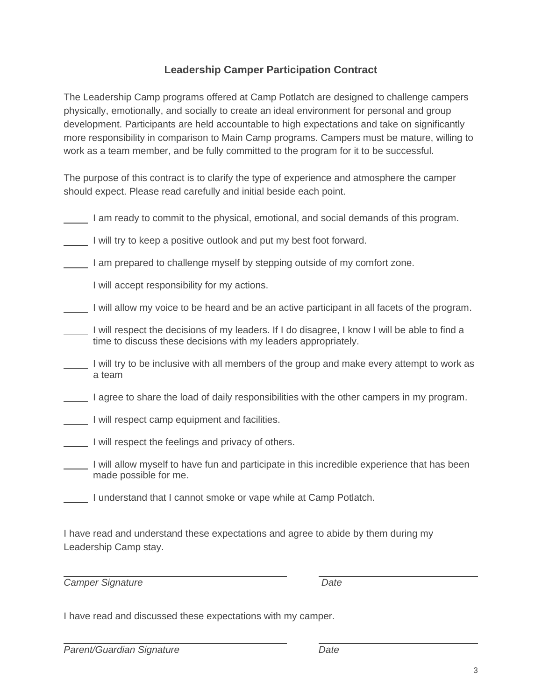# **Leadership Camper Participation Contract**

The Leadership Camp programs offered at Camp Potlatch are designed to challenge campers physically, emotionally, and socially to create an ideal environment for personal and group development. Participants are held accountable to high expectations and take on significantly more responsibility in comparison to Main Camp programs. Campers must be mature, willing to work as a team member, and be fully committed to the program for it to be successful.

The purpose of this contract is to clarify the type of experience and atmosphere the camper should expect. Please read carefully and initial beside each point.

|  |  |  | I am ready to commit to the physical, emotional, and social demands of this program. |
|--|--|--|--------------------------------------------------------------------------------------|
|  |  |  |                                                                                      |

I will try to keep a positive outlook and put my best foot forward.

I am prepared to challenge myself by stepping outside of my comfort zone.

I will accept responsibility for my actions.

I will allow my voice to be heard and be an active participant in all facets of the program.

- I will respect the decisions of my leaders. If I do disagree, I know I will be able to find a time to discuss these decisions with my leaders appropriately.
- $\Box$  I will try to be inclusive with all members of the group and make every attempt to work as a team

I agree to share the load of daily responsibilities with the other campers in my program.

- I will respect camp equipment and facilities.
- I will respect the feelings and privacy of others.
- I will allow myself to have fun and participate in this incredible experience that has been made possible for me.
	- I understand that I cannot smoke or vape while at Camp Potlatch.

I have read and understand these expectations and agree to abide by them during my Leadership Camp stay.

*Camper Signature Date*

I have read and discussed these expectations with my camper.

*Parent/Guardian Signature Date*